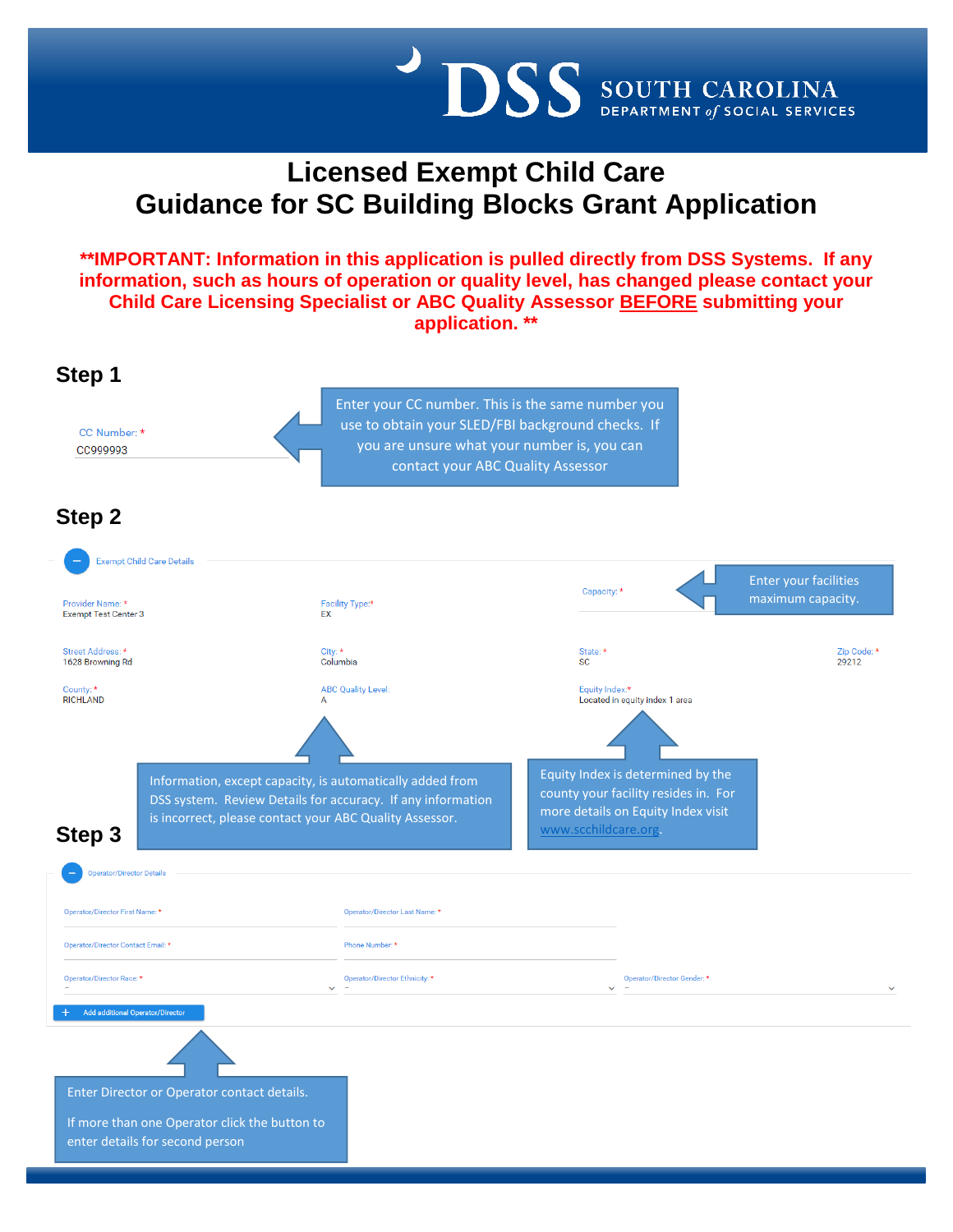

# **Licensed Exempt Child Care Guidance for SC Building Blocks Grant Application**

**\*\*IMPORTANT: Information in this application is pulled directly from DSS Systems. If any information, such as hours of operation or quality level, has changed please contact your Child Care Licensing Specialist or ABC Quality Assessor BEFORE submitting your application. \*\***

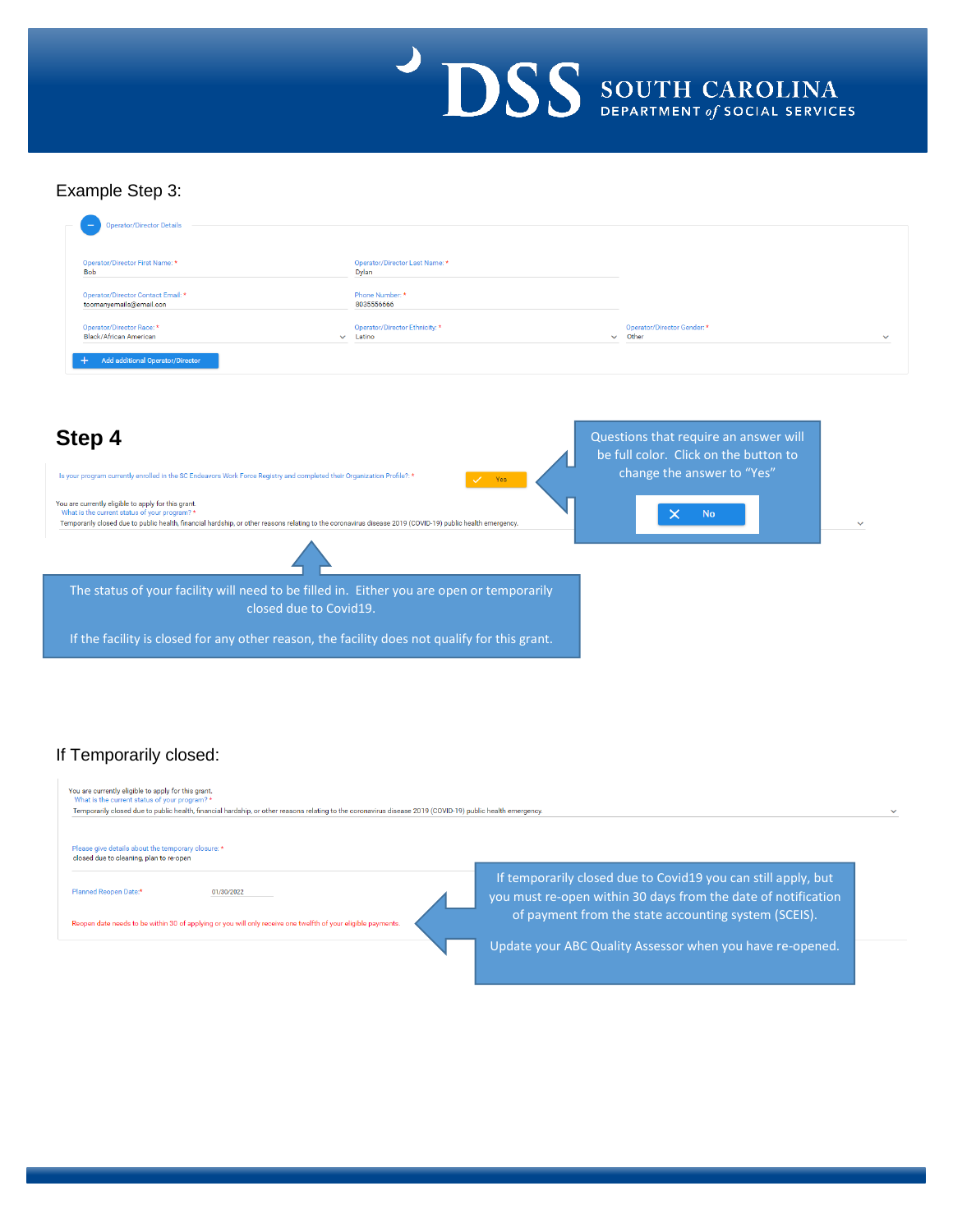

### Example Step 3:

| Operator/Director First Name: *<br><b>Bob</b>                 | Operator/Director Last Name: *<br>Dylan |                             |  |
|---------------------------------------------------------------|-----------------------------------------|-----------------------------|--|
| Operator/Director Contact Email: *<br>toomanyemails@email.con | Phone Number: *<br>8035556666           |                             |  |
| Operator/Director Race: *                                     | Operator/Director Ethnicity: *          | Operator/Director Gender: * |  |
| Black/African American                                        | Latino<br>$\checkmark$                  | Other<br>$\checkmark$       |  |



## If Temporarily closed:

| You are currently eligible to apply for this grant.<br>What is the current status of your program? *<br>Temporarily closed due to public health, financial hardship, or other reasons relating to the coronavirus disease 2019 (COVID-19) public health emergency. |                                                                                                                                |  |
|--------------------------------------------------------------------------------------------------------------------------------------------------------------------------------------------------------------------------------------------------------------------|--------------------------------------------------------------------------------------------------------------------------------|--|
| Please give details about the temporary closure: *<br>closed due to cleaning, plan to re-open                                                                                                                                                                      |                                                                                                                                |  |
| Planned Reopen Date:*<br>01/30/2022                                                                                                                                                                                                                                | If temporarily closed due to Covid19 you can still apply, but<br>you must re-open within 30 days from the date of notification |  |
| Reopen date needs to be within 30 of applying or you will only receive one twelfth of your eligible payments.                                                                                                                                                      | of payment from the state accounting system (SCEIS).                                                                           |  |
|                                                                                                                                                                                                                                                                    | Update your ABC Quality Assessor when you have re-opened.                                                                      |  |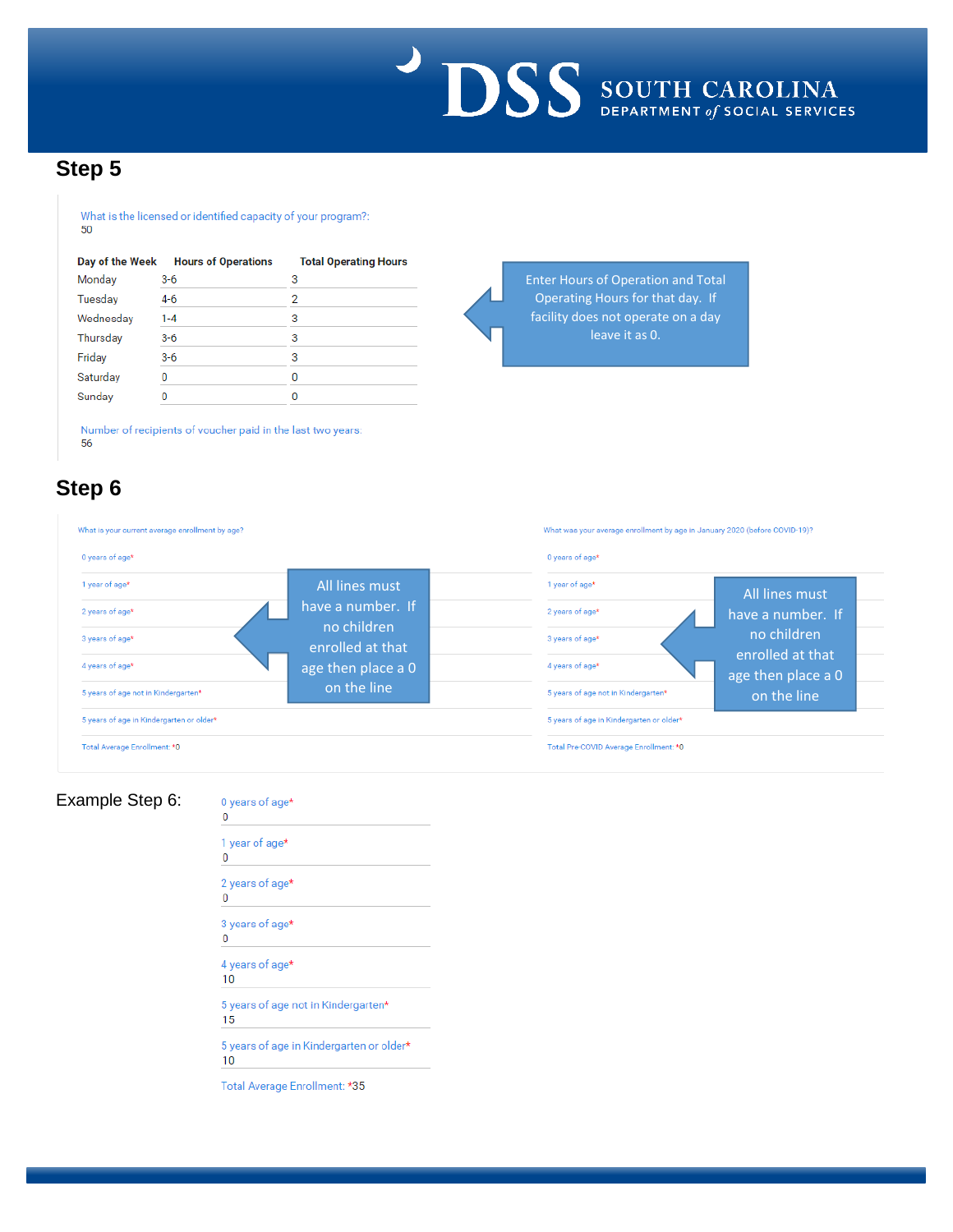

Enter Hours of Operation and Total Operating Hours for that day. If facility does not operate on a day leave it as 0.

## **Step 5**

#### What is the licensed or identified capacity of your program?: 50

| Day of the Week | <b>Hours of Operations</b> | <b>Total Operating Hours</b> |
|-----------------|----------------------------|------------------------------|
| Monday          | $3-6$                      | 3                            |
| Tuesday         | 4-6                        | 2                            |
| Wednesday       | $1 - 4$                    | 3                            |
| Thursday        | $3-6$                      | 3                            |
| Friday          | $3-6$                      | 3                            |
| Saturday        | 0                          | 0                            |
| Sunday          |                            |                              |

Number of recipients of voucher paid in the last two years: 56

# **Step 6**

| What is your current average enrollment by age? |                                 | What was your average enrollment by age in January 2020 (before COVID-19)? |                                        |
|-------------------------------------------------|---------------------------------|----------------------------------------------------------------------------|----------------------------------------|
| 0 years of age*                                 |                                 | 0 years of age*                                                            |                                        |
| 1 year of age*                                  | All lines must                  | 1 year of age*                                                             | All lines must                         |
| 2 years of age*                                 | have a number. If               | 2 years of age*                                                            | have a number. If                      |
| 3 years of age*                                 | no children<br>enrolled at that | 3 years of age*                                                            | no children                            |
| 4 years of age*                                 | age then place a 0              | 4 years of age*                                                            | enrolled at that<br>age then place a 0 |
| 5 years of age not in Kindergarten*             | on the line                     | 5 years of age not in Kindergarten*                                        | on the line                            |
| 5 years of age in Kindergarten or older*        |                                 | 5 years of age in Kindergarten or older*                                   |                                        |
| Total Average Enrollment: * 0                   |                                 | Total Pre-COVID Average Enrollment: * 0                                    |                                        |

## Example Step 6:

0 years of age\*<br>0

|    | 1 year of age*                           |
|----|------------------------------------------|
| 0  |                                          |
|    | 2 years of age*                          |
| 0  |                                          |
|    | 3 years of age*                          |
| 0  |                                          |
|    | 4 years of age*                          |
| 10 |                                          |
|    | 5 years of age not in Kindergarten*      |
| 15 |                                          |
|    | 5 years of age in Kindergarten or older* |
| 10 |                                          |

Total Average Enrollment: \*35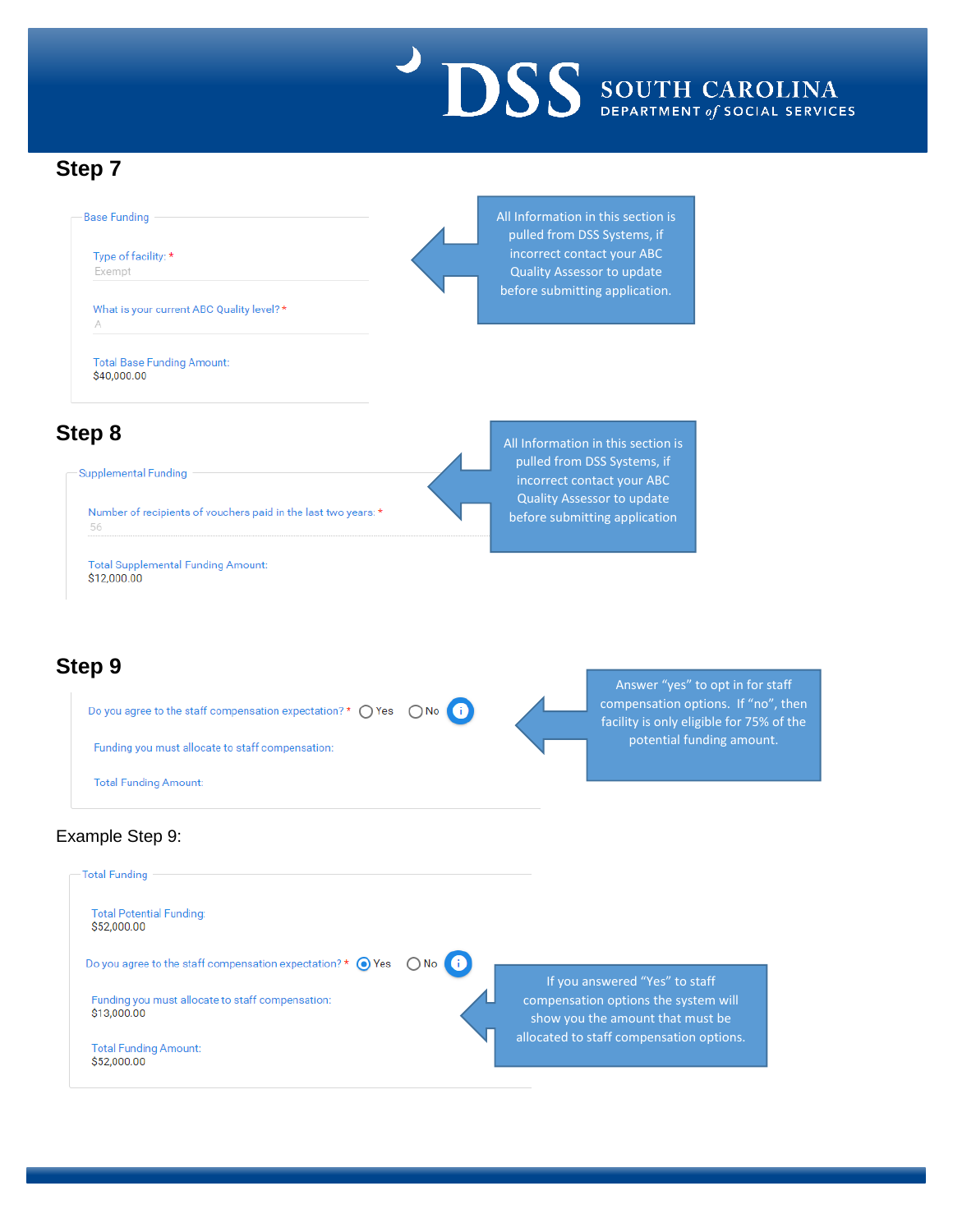

## **Step 7**



\$12,000.00

**Total Supplemental Funding Amount:** 



## Example Step 9:

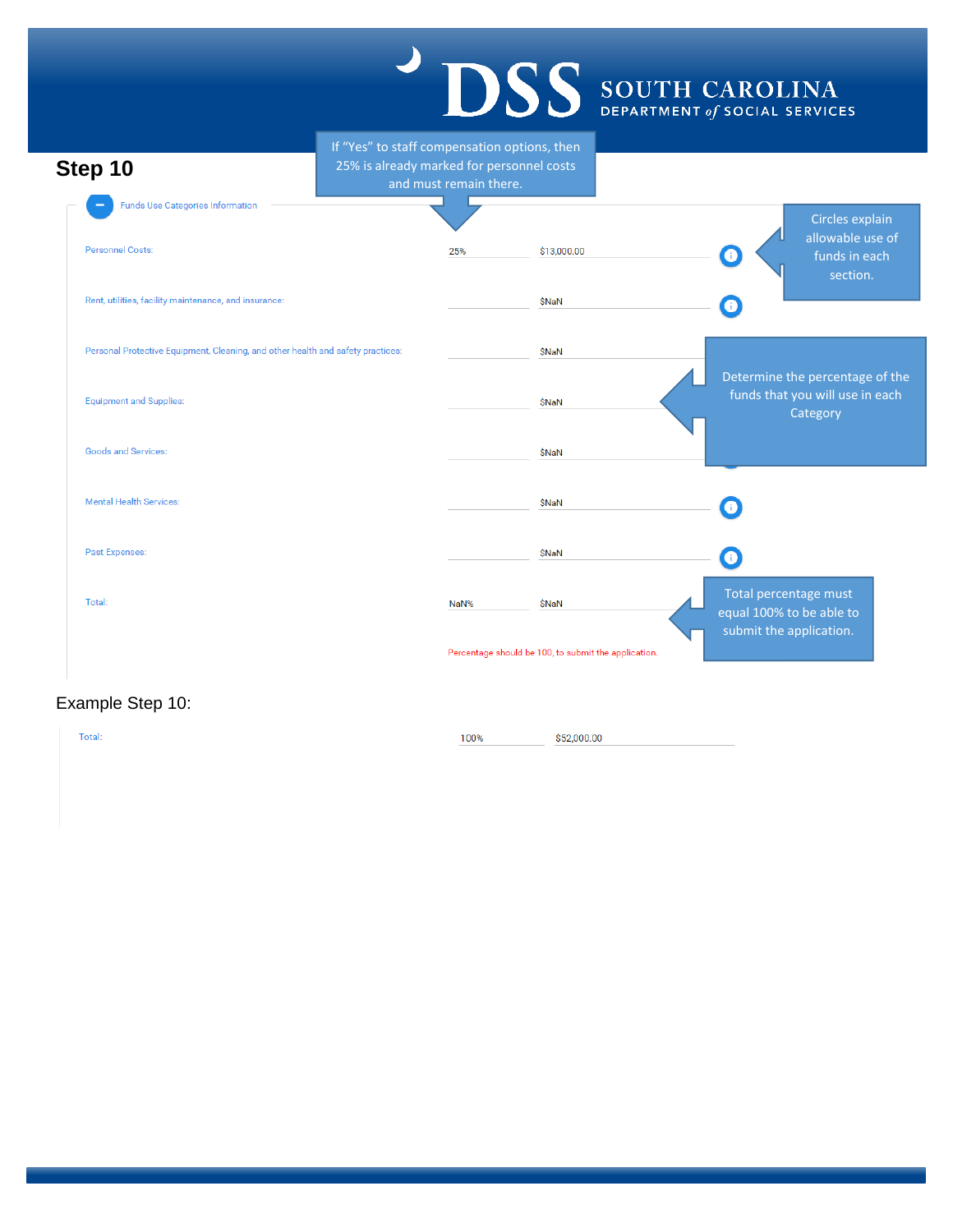#### **SS** SOUTH CAROLINA If "Yes" to staff compensation options, then **Step 10** 25% is already marked for personnel costs and must remain there. **Funds Use Categories Information** Circles explain allowable use of Personnel Costs: 25% \$13,000.00  $\bullet$ funds in each section.Rent, utilities, facility maintenance, and insurance: **\$NaN**  $\bullet$ Personal Protective Equipment, Cleaning, and other health and safety practices: \$NaN Determine the percentage of the funds that you will use in each

Equipment and Supplies: **\$NaN Category** Goods and Services: **\$NaN** Mental Health Services: **\$NaN**  $\mathbf \Omega$ Past Expenses: **\$NaN**  $\bullet$ Total percentage must Total: NaN% **\$NaN** equal 100% to be able to submit the application. Percentage should be 100, to submit the application.

## Example Step 10:

Total: 100% \$52,000.00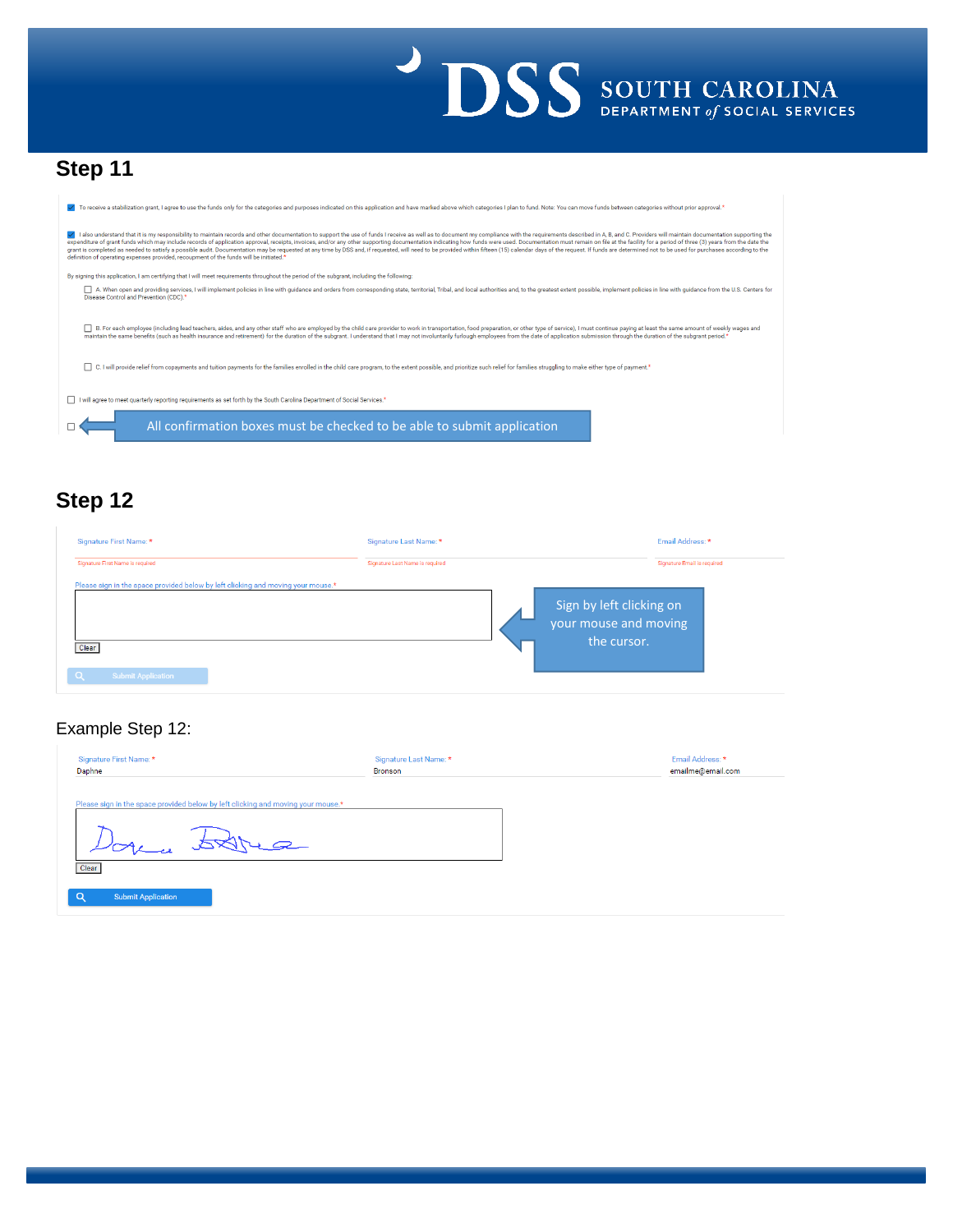

# **Step 11**

| To receive a stabilization grant. I agree to use the funds only for the categories and purposes indicated on this application and have marked above which categories I plan to fund. Note: You can move funds between categori                                                                                                                                                                                                                                                                                                                                                                                                                                                                                                                                                              |
|---------------------------------------------------------------------------------------------------------------------------------------------------------------------------------------------------------------------------------------------------------------------------------------------------------------------------------------------------------------------------------------------------------------------------------------------------------------------------------------------------------------------------------------------------------------------------------------------------------------------------------------------------------------------------------------------------------------------------------------------------------------------------------------------|
| I also understand that it is my responsibility to maintain records and other documentation to support the use of funds I receive as well as to document my compliance with the requirements described in A, B, and C. Provider<br>expenditure of grant funds which may include records of application approval, receipts, invoices, and/or any other supporting documentation indicating how funds were used. Documentation must remain on file at the facility<br>grant is completed as needed to satisfy a possible audit. Documentation may be requested at any time by DSS and, if requested, will need to be provided within fifteen (15) calendar days of the request. If funds are determi<br>definition of operating expenses provided, recoupment of the funds will be initiated.* |
| By signing this application, I am certifying that I will meet requirements throughout the period of the subgrant, including the following:                                                                                                                                                                                                                                                                                                                                                                                                                                                                                                                                                                                                                                                  |
| A. When open and providing services, I will implement policies in line with guidance and orders from corresponding state, territorial, Tribal, and local authorities and, to the greatest extent possible, implement policies<br>Disease Control and Prevention (CDC). <sup>*</sup>                                                                                                                                                                                                                                                                                                                                                                                                                                                                                                         |
| B. For each emplovee (including lead teachers, aides, and any other staff who are emploved by the child care provider to work in transportation, food preparation, or other type of service). I must continue paying at least<br>maintain the same benefits (such as health insurance and retirement) for the duration of the subgrant, I understand that I may not involuntarily furlough employees from the date of application submission through the durati<br>C. I will provide relief from copayments and tuition payments for the families enrolled in the child care program, to the extent possible, and prioritize such relief for families struggling to make either type of payment.*                                                                                           |
| I will agree to meet quarterly reporting requirements as set forth by the South Carolina Department of Social Services.*                                                                                                                                                                                                                                                                                                                                                                                                                                                                                                                                                                                                                                                                    |
| All confirmation boxes must be checked to be able to submit application                                                                                                                                                                                                                                                                                                                                                                                                                                                                                                                                                                                                                                                                                                                     |

# **Step 12**

| Signature First Name: *                                                                                                            | Signature Last Name: *          | Email Address: *                                                 |
|------------------------------------------------------------------------------------------------------------------------------------|---------------------------------|------------------------------------------------------------------|
| Signature First Name is required                                                                                                   | Signature Last Name is required | Signature Email is required                                      |
| Please sign in the space provided below by left clicking and moving your mouse.*<br>Clear<br>$\alpha$<br><b>Submit Application</b> |                                 | Sign by left clicking on<br>your mouse and moving<br>the cursor. |

## Example Step 12:

| Signature First Name: *<br>Daphne                                                | Signature Last Name: *<br><b>Bronson</b> | Email Address: *<br>emailme@email.com |
|----------------------------------------------------------------------------------|------------------------------------------|---------------------------------------|
| Please sign in the space provided below by left clicking and moving your mouse.* |                                          |                                       |
| Donce Stree<br>Clear                                                             |                                          |                                       |
| <b>Submit Application</b>                                                        |                                          |                                       |